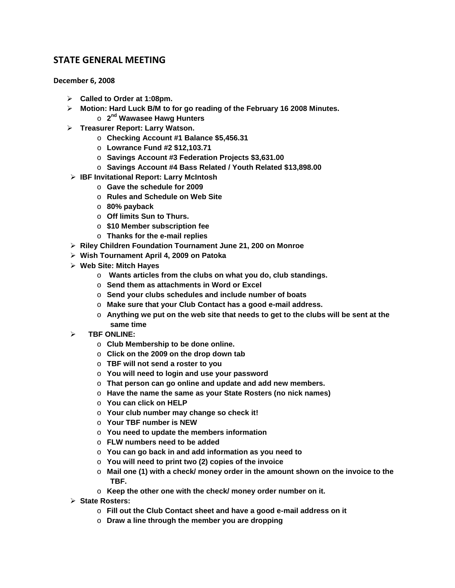## **STATE GENERAL MEETING**

**December 6, 2008**

- **Called to Order at 1:08pm.**
- **Motion: Hard Luck B/M to for go reading of the February 16 2008 Minutes.**
	- o **2nd Wawasee Hawg Hunters**
- **Treasurer Report: Larry Watson.**
	- o **Checking Account #1 Balance \$5,456.31**
	- o **Lowrance Fund #2 \$12,103.71**
	- o **Savings Account #3 Federation Projects \$3,631.00**
	- o **Savings Account #4 Bass Related / Youth Related \$13,898.00**
- **IBF Invitational Report: Larry McIntosh**
	- o **Gave the schedule for 2009**
	- o **Rules and Schedule on Web Site**
	- o **80% payback**
	- o **Off limits Sun to Thurs.**
	- o **\$10 Member subscription fee**
	- o **Thanks for the e-mail replies**
- **Riley Children Foundation Tournament June 21, 200 on Monroe**
- **Wish Tournament April 4, 2009 on Patoka**
- **Web Site: Mitch Hayes**
	- o **Wants articles from the clubs on what you do, club standings.**
	- o **Send them as attachments in Word or Excel**
	- o **Send your clubs schedules and include number of boats**
	- o **Make sure that your Club Contact has a good e-mail address.**
	- o **Anything we put on the web site that needs to get to the clubs will be sent at the same time**
- **TBF ONLINE:** 
	- o **Club Membership to be done online.**
	- o **Click on the 2009 on the drop down tab**
	- o **TBF will not send a roster to you**
	- o **You will need to login and use your password**
	- o **That person can go online and update and add new members.**
	- o **Have the name the same as your State Rosters (no nick names)**
	- o **You can click on HELP**
	- o **Your club number may change so check it!**
	- o **Your TBF number is NEW**
	- o **You need to update the members information**
	- o **FLW numbers need to be added**
	- o **You can go back in and add information as you need to**
	- o **You will need to print two (2) copies of the invoice**
	- o **Mail one (1) with a check/ money order in the amount shown on the invoice to the TBF.**
	- o **Keep the other one with the check/ money order number on it.**
- **State Rosters:**
	- o **Fill out the Club Contact sheet and have a good e-mail address on it**
	- o **Draw a line through the member you are dropping**